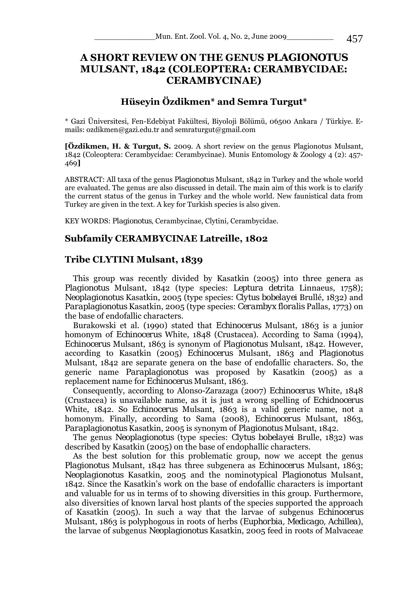# **A SHORT REVIEW ON THE GENUS** *PLAGIONOTUS* **MULSANT, 1842 (COLEOPTERA: CERAMBYCIDAE: CERAMBYCINAE)**

## **Hüseyin Özdikmen\* and Semra Turgut\***

\* Gazi Üniversitesi, Fen-Edebiyat Fakültesi, Biyoloji Bölümü, 06500 Ankara / Türkiye. Emails: ozdikmen@gazi.edu.tr and semraturgut@gmail.com

**[Özdikmen, H. & Turgut, S.** 2009. A short review on the genus Plagionotus Mulsant, 1842 (Coleoptera: Cerambycidae: Cerambycinae). Munis Entomology & Zoology 4 (2): 457- 469**]** 

ABSTRACT: All taxa of the genus *Plagionotus* Mulsant, 1842 in Turkey and the whole world are evaluated. The genus are also discussed in detail. The main aim of this work is to clarify the current status of the genus in Turkey and the whole world. New faunistical data from Turkey are given in the text. A key for Turkish species is also given.

KEY WORDS: *Plagionotus,* Cerambycinae, Clytini, Cerambycidae.

#### **Subfamily CERAMBYCINAE Latreille, 1802**

### **Tribe CLYTINI Mulsant, 1839**

This group was recently divided by Kasatkin (2005) into three genera as *Plagionotus* Mulsant, 1842 (type species: *Leptura detrita* Linnaeus, 1758); *Neoplagionotus* Kasatkin, 2005 (type species: *Clytus bobelayei* Brullé, 1832) and *Paraplagionotus* Kasatkin, 2005 (type species: *Cerambyx floralis* Pallas, 1773) on the base of endofallic characters.

 Burakowski et al. (1990) stated that *Echinocerus* Mulsant, 1863 is a junior homonym of *Echinocerus* White, 1848 (Crustacea). According to Sama (1994), *Echinocerus* Mulsant, 1863 is synonym of *Plagionotus* Mulsant, 1842. However, according to Kasatkin (2005) *Echinocerus* Mulsant, 1863 and *Plagionotus*  Mulsant, 1842 are separate genera on the base of endofallic characters. So, the generic name *Paraplagionotus* was proposed by Kasatkin (2005) as a replacement name for *Echinocerus* Mulsant, 1863.

 Consequently, according to Alonso-Zarazaga (2007) *Echinocerus* White, 1848 (Crustacea) is unavailable name, as it is just a wrong spelling of *Echidnocerus*  White, 1842. So *Echinocerus* Mulsant, 1863 is a valid generic name, not a homonym. Finally, according to Sama (2008), *Echinocerus* Mulsant, 1863, *Paraplagionotus* Kasatkin, 2005 is synonym of *Plagionotus* Mulsant, 1842.

 The genus *Neoplagionotus* (type species: *Clytus bobelayei* Brulle, 1832) was described by Kasatkin (2005) on the base of endophallic characters.

 As the best solution for this problematic group, now we accept the genus *Plagionotus* Mulsant, 1842 has three subgenera as *Echinocerus* Mulsant, 1863; *Neoplagionotus* Kasatkin, 2005 and the nominotypical *Plagionotus* Mulsant, 1842. Since the Kasatkin's work on the base of endofallic characters is important and valuable for us in terms of to showing diversities in this group. Furthermore, also diversities of known larval host plants of the species supported the approach of Kasatkin (2005). In such a way that the larvae of subgenus *Echinocerus*  Mulsant, 1863 is polyphogous in roots of herbs (*Euphorbia, Medicago, Achillea*), the larvae of subgenus *Neoplagionotus* Kasatkin, 2005 feed in roots of Malvaceae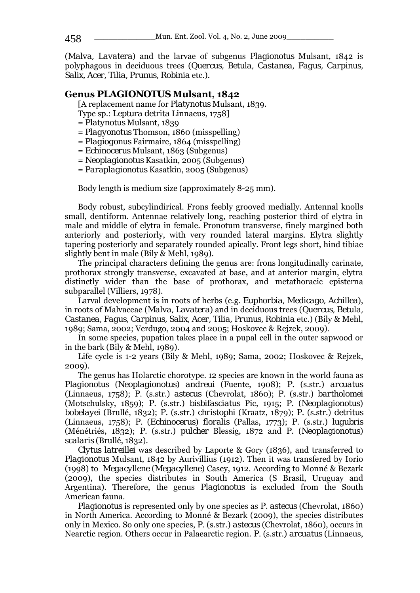(*Malva, Lavatera*) and the larvae of subgenus *Plagionotus* Mulsant, 1842 is polyphagous in deciduous trees (*Quercus, Betula, Castanea, Fagus, Carpinus, Salix, Acer, Tilia, Prunus, Robinia* etc.).

#### **Genus** *PLAGIONOTUS* **Mulsant, 1842**

[A replacement name for *Platynotus* Mulsant, 1839.

Type sp.: *Leptura detrita* Linnaeus, 1758]

- = *Platynotus* Mulsant, 1839
- = *Plagyonotus* Thomson, 1860 (misspelling)
- = *Plagiogonus* Fairmaire, 1864 (misspelling)
- = *Echinocerus* Mulsant, 1863 (Subgenus)
- = *Neoplagionotus* Kasatkin, 2005 (Subgenus)
- = *Paraplagionotus* Kasatkin, 2005 (Subgenus)

Body length is medium size (approximately 8-25 mm).

Body robust, subcylindirical. Frons feebly grooved medially. Antennal knolls small, dentiform. Antennae relatively long, reaching posterior third of elytra in male and middle of elytra in female. Pronotum transverse, finely margined both anteriorly and posteriorly, with very rounded lateral margins. Elytra slightly tapering posteriorly and separately rounded apically. Front legs short, hind tibiae slightly bent in male (Bily & Mehl, 1989).

The principal characters defining the genus are: frons longitudinally carinate, prothorax strongly transverse, excavated at base, and at anterior margin, elytra distinctly wider than the base of prothorax, and metathoracic episterna subparallel (Villiers, 1978).

Larval development is in roots of herbs (e.g. *Euphorbia, Medicago, Achillea*), in roots of Malvaceae (*Malva, Lavatera*) and in deciduous trees (*Quercus, Betula, Castanea, Fagus, Carpinus, Salix, Acer, Tilia, Prunus, Robinia* etc.) (Bily & Mehl, 1989; Sama, 2002; Verdugo, 2004 and 2005; Hoskovec & Rejzek, 2009).

In some species, pupation takes place in a pupal cell in the outer sapwood or in the bark (Bily & Mehl, 1989).

Life cycle is 1-2 years (Bily & Mehl, 1989; Sama, 2002; Hoskovec & Rejzek, 2009).

The genus has Holarctic chorotype. 12 species are known in the world fauna as *Plagionotus* (*Neoplagionotus*) *andreui* (Fuente, 1908); *P.* (s.str.) *arcuatus* (Linnaeus, 1758); *P.* (s.str.) *astecus* (Chevrolat, 1860); *P.* (s.str.) *bartholomei* (Motschulsky, 1859); *P.* (s.str.) *bisbifasciatus* Pic, 1915; *P.* (*Neoplagionotus*) *bobelayei* (Brullé, 1832); *P.* (s.str.) *christophi* (Kraatz, 1879); *P.* (s.str.) *detritus* (Linnaeus, 1758); *P.* (*Echinocerus*) *floralis* (Pallas, 1773); *P.* (s.str.) *lugubris* (Ménétriés, 1832); *P.* (s.str.) *pulcher* Blessig, 1872 and *P.* (*Neoplagionotus*) *scalaris* (Brullé, 1832).

*Clytus latreillei* was described by Laporte & Gory (1836), and transferred to *Plagionotus* Mulsant, 1842 by Aurivillius (1912). Then it was transfered by Iorio (1998) to *Megacyllene* (*Megacyllene*) Casey, 1912. According to Monné & Bezark (2009), the species distributes in South America (S Brasil, Uruguay and Argentina). Therefore, the genus *Plagionotus* is excluded from the South American fauna.

*Plagionotus* is represented only by one species as *P. astecus* (Chevrolat, 1860) in North America. According to Monné & Bezark (2009), the species distributes only in Mexico. So only one species, *P.* (s.str.) *astecus* (Chevrolat, 1860), occurs in Nearctic region. Others occur in Palaearctic region. *P.* (s.str.) *arcuatus* (Linnaeus,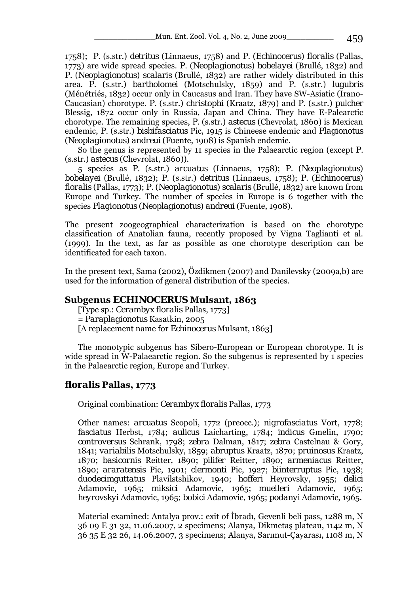1758); *P.* (s.str.) *detritus* (Linnaeus, 1758) and *P.* (*Echinocerus*) *floralis* (Pallas, 1773) are wide spread species. *P.* (*Neoplagionotus*) *bobelayei* (Brullé, 1832) and *P.* (*Neoplagionotus*) *scalaris* (Brullé, 1832) are rather widely distributed in this area. *P.* (s.str.) *bartholomei* (Motschulsky, 1859) and *P.* (s.str.) *lugubris* (Ménétriés, 1832) occur only in Caucasus and Iran. They have SW-Asiatic (Irano-Caucasian) chorotype. *P.* (s.str.) *christophi* (Kraatz, 1879) and *P.* (s.str.) *pulcher* Blessig, 1872 occur only in Russia, Japan and China. They have E-Palearctic chorotype. The remaining species, *P.* (s.str.) *astecus* (Chevrolat, 1860) is Mexican endemic, *P.* (s.str.) *bisbifasciatus* Pic, 1915 is Chineese endemic and *Plagionotus*  (*Neoplagionotus*) *andreui* (Fuente, 1908) is Spanish endemic.

So the genus is represented by 11 species in the Palaearctic region (except *P.*  (s.str.) *astecus* (Chevrolat, 1860)).

5 species as *P.* (s.str.) *arcuatus* (Linnaeus, 1758); *P.* (*Neoplagionotus*) *bobelayei* (Brullé, 1832); *P.* (s.str.) *detritus* (Linnaeus, 1758); *P.* (*Echinocerus*) *floralis* (Pallas, 1773); *P.* (*Neoplagionotus*) *scalaris* (Brullé, 1832) are known from Europe and Turkey. The number of species in Europe is 6 together with the species *Plagionotus* (*Neoplagionotus*) *andreui* (Fuente, 1908).

The present zoogeographical characterization is based on the chorotype classification of Anatolian fauna, recently proposed by Vigna Taglianti et al. (1999). In the text, as far as possible as one chorotype description can be identificated for each taxon.

In the present text, Sama (2002), Özdikmen (2007) and Danilevsky (2009a,b) are used for the information of general distribution of the species.

# **Subgenus** *ECHINOCERUS* **Mulsant, 1863**

[Type sp.: *Cerambyx floralis* Pallas, 1773] = *Paraplagionotus* Kasatkin, 2005 [A replacement name for *Echinocerus* Mulsant, 1863]

The monotypic subgenus has Sibero-European or European chorotype. It is wide spread in W-Palaearctic region. So the subgenus is represented by 1 species in the Palaearctic region, Europe and Turkey.

## *floralis* **Pallas, 1773**

Original combination: *Cerambyx floralis* Pallas, 1773

Other names: *arcuatus* Scopoli, 1772 (preocc.); *nigrofasciatus* Vort, 1778; *fasciatus* Herbst, 1784; *aulicus* Laicharting, 1784; *indicus* Gmelin, 1790; *controversus* Schrank, 1798; *zebra* Dalman, 1817; *zebra* Castelnau & Gory, 1841; *variabilis* Motschulsky, 1859; *abruptus* Kraatz, 1870; *pruinosus* Kraatz, 1870; *basicornis* Reitter, 1890; *pilifer* Reitter, 1890; *armeniacus* Reitter, 1890; *araratensis* Pic, 1901; *clermonti* Pic, 1927; *biinterruptus* Pic, 1938; *duodecimguttatus* Plavilstshikov, 1940; *hofferi* Heyrovsky, 1955; *delici*  Adamovic, 1965; *miksici* Adamovic, 1965; *muelleri* Adamovic, 1965; *heyrovskyi* Adamovic, 1965; *bobici* Adamovic, 1965; *podanyi* Adamovic, 1965.

Material examined: Antalya prov.: exit of İbradı, Gevenli beli pass, 1288 m, N 36 09 E 31 32, 11.06.2007, 2 specimens; Alanya, Dikmetaş plateau, 1142 m, N 36 35 E 32 26, 14.06.2007, 3 specimens; Alanya, Sarımut-Çayarası, 1108 m, N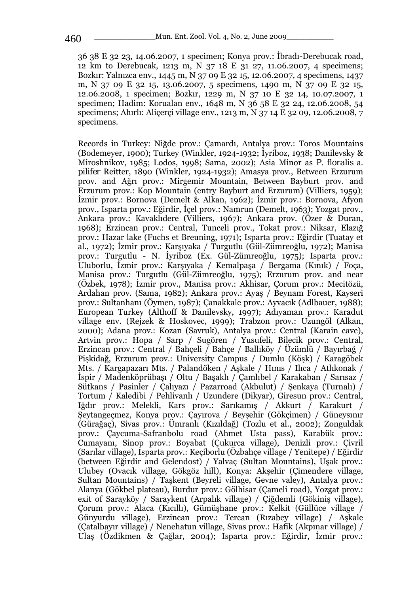36 38 E 32 23, 14.06.2007, 1 specimen; Konya prov.: İbradı-Derebucak road, 12 km to Derebucak, 1213 m, N 37 18 E 31 27, 11.06.2007, 4 specimens; Bozkır: Yalnızca env., 1445 m, N 37 09 E 32 15, 12.06.2007, 4 specimens, 1437 m, N 37 09 E 32 15, 13.06.2007, 5 specimens, 1490 m, N 37 09 E 32 15, 12.06.2008, 1 specimen; Bozkır, 1229 m, N 37 10 E 32 14, 10.07.2007, 1 specimen; Hadim: Korualan env., 1648 m, N 36 58 E 32 24, 12.06.2008, 54 specimens; Ahırlı: Aliçerçi village env., 1213 m, N 37 14 E 32 09, 12.06.2008, 7 specimens.

Records in Turkey: Niğde prov.: Çamardı, Antalya prov.: Toros Mountains (Bodemeyer, 1900); Turkey (Winkler, 1924-1932; İyriboz, 1938; Danilevsky & Miroshnikov, 1985; Lodos, 1998; Sama, 2002); Asia Minor as *P. floralis* a. *pilifer* Reitter, 1890 (Winkler, 1924-1932); Amasya prov., Between Erzurum prov. and Ağrı prov.: Mirgemir Mountain, Between Bayburt prov. and Erzurum prov.: Kop Mountain (entry Bayburt and Erzurum) (Villiers, 1959); İzmir prov.: Bornova (Demelt & Alkan, 1962); İzmir prov.: Bornova, Afyon prov., Isparta prov.: Eğirdir, İçel prov.: Namrun (Demelt, 1963); Yozgat prov., Ankara prov.: Kavaklıdere (Villiers, 1967); Ankara prov. (Özer & Duran, 1968); Erzincan prov.: Central, Tunceli prov., Tokat prov.: Niksar, Elazığ prov.: Hazar lake (Fuchs et Breuning, 1971); Isparta prov.: Eğirdir (Tuatay et al., 1972); İzmir prov.: Karşıyaka / Turgutlu (Gül-Zümreoğlu, 1972); Manisa prov.: Turgutlu - N. İyriboz (Ex. Gül-Zümreoğlu, 1975); Isparta prov.: Uluborlu, İzmir prov.: Karşıyaka / Kemalpaşa / Bergama (Kınık) / Foça, Manisa prov.: Turgutlu (Gül-Zümreoğlu, 1975); Erzurum prov. and near (Özbek, 1978); İzmir prov., Manisa prov.: Akhisar, Çorum prov.: Mecitözü, Ardahan prov. (Sama, 1982); Ankara prov.: Ayaş / Beynam Forest, Kayseri prov.: Sultanhanı (Öymen, 1987); Çanakkale prov.: Ayvacık (Adlbauer, 1988); European Turkey (Althoff & Danilevsky, 1997); Adıyaman prov.: Karadut village env. (Rejzek & Hoskovec, 1999); Trabzon prov.: Uzungöl (Alkan, 2000); Adana prov.: Kozan (Savruk), Antalya prov.: Central (Karain cave), Artvin prov.: Hopa / Sarp / Sugören / Yusufeli, Bilecik prov.: Central, Erzincan prov.: Central / Bahçeli / Bahçe / Ballıköy / Üzümlü / Bayırbağ / Pişkidağ, Erzurum prov.: University Campus / Dumlu (Köşk) / Karagöbek Mts. / Kargapazarı Mts. / Palandöken / Aşkale / Hınıs / Ilıca / Atlıkonak / İspir / Madenköprübaşı / Oltu / Başaklı / Çamlıbel / Karakaban / Sarısaz / Sütkans / Pasinler / Çalıyazı / Pazarroad (Akbulut) / Şenkaya (Turnalı) / Tortum / Kaledibi / Pehlivanlı / Uzundere (Dikyar), Giresun prov.: Central, Iğdır prov.: Melekli, Kars prov.: Sarıkamış / Akkurt / Karakurt / Şeytangeçmez, Konya prov.: Çayırova / Beyşehir (Gökçimen) / Güneysınır (Gürağaç), Sivas prov.: Ümranlı (Kızıldağ) (Tozlu et al., 2002); Zonguldak prov.: Çaycuma-Safranbolu road (Ahmet Usta pass), Karabük prov.: Cumayanı, Sinop prov.: Boyabat (Çukurca village), Denizli prov.: Çivril (Sarılar village), Isparta prov.: Keçiborlu (Özbahçe village / Yenitepe) / Eğirdir (between Eğirdir and Gelendost) / Yalvaç (Sultan Mountains), Uşak prov.: Ulubey (Ovacık village, Gökgöz hill), Konya: Akşehir (Çimendere village, Sultan Mountains) / Taşkent (Beyreli village, Gevne valey), Antalya prov.: Alanya (Gökbel plateau), Burdur prov.: Gölhisar (Çameli road), Yozgat prov.: exit of Sarayköy / Saraykent (Arpalık village) / Çiğdemli (Gökiniş village), Çorum prov.: Alaca (Kıcıllı), Gümüşhane prov.: Kelkit (Güllüce village / Günyurdu village), Erzincan prov.: Tercan (Rızabey village) / Aşkale (Çatalbayır village) / Nenehatun village, Sivas prov.: Hafik (Akpınar village) / Ulaş (Özdikmen & Çağlar, 2004); Isparta prov.: Eğirdir, İzmir prov.: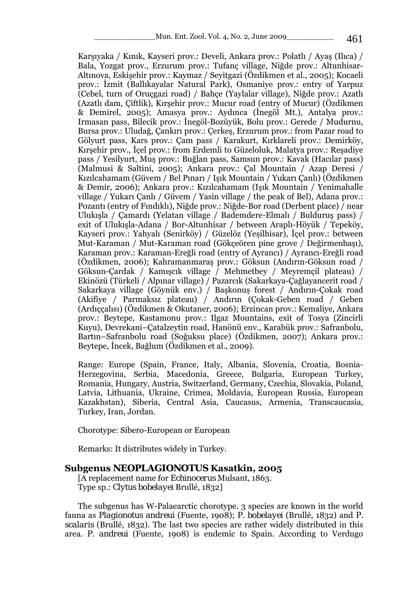Karşıyaka / Kınık, Kayseri prov.: Develi, Ankara prov.: Polatlı / Ayaş (Ilıca) / Bala, Yozgat prov., Erzurum prov.: Tufanç village, Niğde prov.: Altunhisar-Altınova, Eskişehir prov.: Kaymaz / Seyitgazi (Özdikmen et al., 2005); Kocaeli prov.: İzmit (Ballıkayalar Natural Park), Osmaniye prov.: entry of Yarpuz (Cebel, turn of Oruçgazi road) / Bahçe (Yaylalar village), Niğde prov.: Azatlı (Azatlı dam, Çiftlik), Kırşehir prov.: Mucur road (entry of Mucur) (Özdikmen & Demirel, 2005); Amasya prov.: Aydınca (İnegöl Mt.), Antalya prov.: Irmasan pass, Bilecik prov.: İnegöl-Bozüyük, Bolu prov.: Gerede / Mudurnu, Bursa prov.: Uludağ, Çankırı prov.: Çerkeş, Erzurum prov.: from Pazar road to Gölyurt pass, Kars prov.: Çam pass / Karakurt, Kırklareli prov.: Demirköy, Kırşehir prov., İçel prov.: from Erdemli to Güzeloluk, Malatya prov.: Reşadiye pass / Yesilyurt, Muş prov.: Buğlan pass, Samsun prov.: Kavak (Hacılar pass) (Malmusi & Saltini, 2005); Ankara prov.: Çal Mountain / Azap Deresi / Kızılcahamam (Güvem / Bel Pınarı / Işık Mountain / Yukarı Çanlı) (Özdikmen & Demir, 2006); Ankara prov.: Kızılcahamam (Işık Mountain / Yenimahalle village / Yukarı Çanlı / Güvem / Yasin village / the peak of Bel), Adana prov.: Pozantı (entry of Fındıklı), Niğde prov.: Niğde-Bor road (Derbent place) / near Ulukışla / Çamardı (Yelatan village / Bademdere-Elmalı / Bulduruş pass) / exit of Ulukışla-Adana / Bor-Altunhisar / between Araplı-Höyük / Tepeköy, Kayseri prov.: Yahyalı (Senirköy) / Güzelöz (Yeşilhisar), İçel prov.: between Mut-Karaman / Mut-Karaman road (Gökçeören pine grove / Değirmenbaşı), Karaman prov.: Karaman-Ereğli road (entry of Ayrancı) / Ayrancı-Ereğli road (Özdikmen, 2006); Kahramanmaraş prov.: Göksun (Andırın-Göksun road / Göksun-Çardak / Kamışcık village / Mehmetbey / Meyremçil plateau) / Ekinözü (Türkeli / Alpınar village) / Pazarcık (Sakarkaya-Çağlayancerit road / Sakarkaya village (Göynük env.) / Başkonuş forest / Andırın-Çokak road (Akifiye / Parmaksız plateau) / Andırın (Çokak-Geben road / Geben (Ardıççalısı) (Özdikmen & Okutaner, 2006); Erzincan prov.: Kemaliye, Ankara prov.: Beytepe, Kastamonu prov.: Ilgaz Mountains, exit of Tosya (Zincirli Kuyu), Devrekani–Çatalzeytin road, Hanönü env., Karabük prov.: Safranbolu, Bartın–Safranbolu road (Soğuksu place) (Özdikmen, 2007); Ankara prov.: Beytepe, İncek, Bağlum (Özdikmen et al., 2009).

Range: Europe (Spain, France, Italy, Albania, Slovenia, Croatia, Bosnia-Herzegovina, Serbia, Macedonia, Greece, Bulgaria, European Turkey, Romania, Hungary, Austria, Switzerland, Germany, Czechia, Slovakia, Poland, Latvia, Lithuania, Ukraine, Crimea, Moldavia, European Russia, European Kazakhstan), Siberia, Central Asia, Caucasus, Armenia, Transcaucasia, Turkey, Iran, Jordan.

Chorotype: Sibero-European or European

Remarks: It distributes widely in Turkey.

#### **Subgenus** *NEOPLAGIONOTUS* **Kasatkin, 2005**

[A replacement name for *Echinocerus* Mulsant, 1863. Type sp.: *Clytus bobelayei* Brullé, 1832]

The subgenus has W-Palaearctic chorotype. 3 species are known in the world fauna as *Plagionotus andreui* (Fuente, 1908); *P. bobelayei* (Brullé, 1832) and *P. scalaris* (Brullé, 1832). The last two species are rather widely distributed in this area. *P. andreui* (Fuente, 1908) is endemic to Spain. According to Verdugo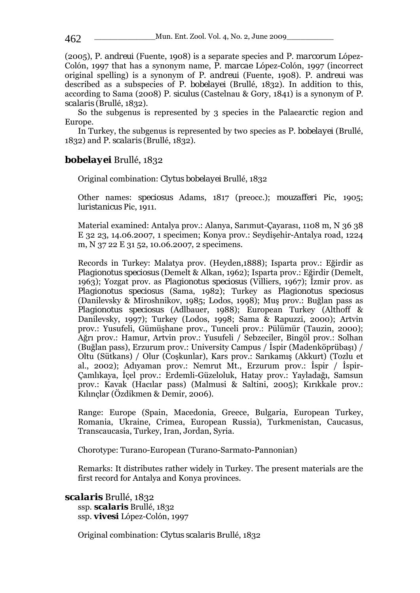\_\_\_\_\_\_\_\_\_\_\_\_\_Mun. Ent. Zool. Vol. 4, No. 2, June 2009\_\_\_\_\_\_\_\_\_\_ 462

(2005), *P. andreui* (Fuente, 1908) is a separate species and *P. marcorum* López-Colón, 1997 that has a synonym name, *P. marcae* López-Colón, 1997 (incorrect original spelling) is a synonym of *P. andreui* (Fuente, 1908). *P. andreui* was described as a subspecies of *P. bobelayei* (Brullé, 1832). In addition to this, according to Sama (2008) *P. siculus* (Castelnau & Gory, 1841) is a synonym of *P. scalaris* (Brullé, 1832).

So the subgenus is represented by 3 species in the Palaearctic region and Europe.

In Turkey, the subgenus is represented by two species as *P. bobelayei* (Brullé, 1832) and *P. scalaris* (Brullé, 1832).

# *bobelayei* Brullé, 1832

Original combination: *Clytus bobelayei* Brullé, 1832

Other names: *speciosus* Adams, 1817 (preocc.); *mouzafferi* Pic, 1905; *luristanicus* Pic, 1911.

Material examined: Antalya prov.: Alanya, Sarımut-Çayarası, 1108 m, N 36 38 E 32 23, 14.06.2007, 1 specimen; Konya prov.: Seydişehir-Antalya road, 1224 m, N 37 22 E 31 52, 10.06.2007, 2 specimens.

Records in Turkey: Malatya prov. (Heyden,1888); Isparta prov.: Eğirdir as *Plagionotus speciosus* (Demelt & Alkan, 1962); Isparta prov.: Eğirdir (Demelt, 1963); Yozgat prov. as *Plagionotus speciosus* (Villiers, 1967); İzmir prov. as *Plagionotus speciosus* (Sama, 1982); Turkey as *Plagionotus speciosus*  (Danilevsky & Miroshnikov, 1985; Lodos, 1998); Muş prov.: Buğlan pass as *Plagionotus speciosus* (Adlbauer, 1988); European Turkey (Althoff & Danilevsky, 1997); Turkey (Lodos, 1998; Sama & Rapuzzi, 2000); Artvin prov.: Yusufeli, Gümüşhane prov., Tunceli prov.: Pülümür (Tauzin, 2000); Ağrı prov.: Hamur, Artvin prov.: Yusufeli / Sebzeciler, Bingöl prov.: Solhan (Buğlan pass), Erzurum prov.: University Campus / İspir (Madenköprübaşı) / Oltu (Sütkans) / Olur (Coşkunlar), Kars prov.: Sarıkamış (Akkurt) (Tozlu et al., 2002); Adıyaman prov.: Nemrut Mt., Erzurum prov.: İspir / İspir-Çamlıkaya, İçel prov.: Erdemli-Güzeloluk, Hatay prov.: Yayladağı, Samsun prov.: Kavak (Hacılar pass) (Malmusi & Saltini, 2005); Kırıkkale prov.: Kılınçlar (Özdikmen & Demir, 2006).

Range: Europe (Spain, Macedonia, Greece, Bulgaria, European Turkey, Romania, Ukraine, Crimea, European Russia), Turkmenistan, Caucasus, Transcaucasia, Turkey, Iran, Jordan, Syria.

Chorotype: Turano-European (Turano-Sarmato-Pannonian)

Remarks: It distributes rather widely in Turkey. The present materials are the first record for Antalya and Konya provinces.

*scalaris* Brullé, 1832 ssp. *scalaris* Brullé, 1832 ssp. *vivesi* López-Colón, 1997

Original combination: *Clytus scalaris* Brullé, 1832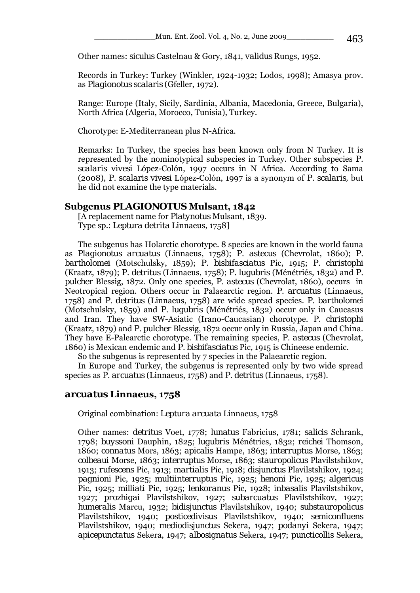Other names: *siculus* Castelnau & Gory, 1841, *validus* Rungs, 1952.

Records in Turkey: Turkey (Winkler, 1924-1932; Lodos, 1998); Amasya prov. as *Plagionotus scalaris* (Gfeller, 1972).

Range: Europe (Italy, Sicily, Sardinia, Albania, Macedonia, Greece, Bulgaria), North Africa (Algeria, Morocco, Tunisia), Turkey.

Chorotype: E-Mediterranean plus N-Africa.

Remarks: In Turkey, the species has been known only from N Turkey. It is represented by the nominotypical subspecies in Turkey. Other subspecies *P. scalaris vivesi* López-Colón, 1997 occurs in N Africa. According to Sama (2008), *P. scalaris vivesi* López-Colón, 1997 is a synonym of *P. scalaris,* but he did not examine the type materials.

## **Subgenus** *PLAGIONOTUS* **Mulsant, 1842**

[A replacement name for *Platynotus* Mulsant, 1839. Type sp.: *Leptura detrita* Linnaeus, 1758]

The subgenus has Holarctic chorotype. 8 species are known in the world fauna as *Plagionotus arcuatus* (Linnaeus, 1758); *P. astecus* (Chevrolat, 1860); *P. bartholomei* (Motschulsky, 1859); *P. bisbifasciatus* Pic, 1915; *P. christophi* (Kraatz, 1879); *P. detritus* (Linnaeus, 1758); *P. lugubris* (Ménétriés, 1832) and *P. pulcher* Blessig, 1872. Only one species, *P. astecus* (Chevrolat, 1860), occurs in Neotropical region. Others occur in Palaearctic region. *P. arcuatus* (Linnaeus, 1758) and *P. detritus* (Linnaeus, 1758) are wide spread species. *P. bartholomei* (Motschulsky, 1859) and *P. lugubris* (Ménétriés, 1832) occur only in Caucasus and Iran. They have SW-Asiatic (Irano-Caucasian) chorotype. *P. christophi* (Kraatz, 1879) and *P. pulcher* Blessig, 1872 occur only in Russia, Japan and China. They have E-Palearctic chorotype. The remaining species, *P. astecus* (Chevrolat, 1860) is Mexican endemic and *P. bisbifasciatus* Pic, 1915 is Chineese endemic.

So the subgenus is represented by 7 species in the Palaearctic region.

In Europe and Turkey, the subgenus is represented only by two wide spread species as *P. arcuatus* (Linnaeus, 1758) and *P. detritus* (Linnaeus, 1758).

#### *arcuatus* **Linnaeus, 1758**

Original combination: *Leptura arcuata* Linnaeus, 1758

Other names: *detritus* Voet, 1778; *lunatus* Fabricius, 1781; *salicis* Schrank, 1798; *buyssoni* Dauphin, 1825; *lugubris* Ménétries, 1832; *reichei* Thomson, 1860; *connatus* Mors, 1863; *apicalis* Hampe, 1863; *interruptus* Morse, 1863; *colbeaui* Morse, 1863; *interruptus* Morse, 1863; *stauropolicus* Plavilstshikov, 1913; *rufescens* Pic, 1913; *martialis* Pic, 1918; *disjunctus* Plavilstshikov, 1924; *pagnioni* Pic, 1925; *multiinterruptus* Pic, 1925; *henoni* Pic, 1925; *algericus*  Pic, 1925; *milliati* Pic, 1925; *lenkoranus* Pic, 1928; *inbasalis* Plavilstshikov, 1927; *prozhigai* Plavilstshikov, 1927; *subarcuatus* Plavilstshikov, 1927; *humeralis* Marcu, 1932; *bidisjunctus* Plavilstshikov, 1940; *substauropolicus*  Plavilstshikov, 1940; *posticedivisus* Plavilstshikov, 1940; *semiconfluens*  Plavilstshikov, 1940; *mediodisjunctus* Sekera, 1947; *podanyi* Sekera, 1947; *apicepunctatus* Sekera, 1947; *albosignatus* Sekera, 1947; *puncticollis* Sekera,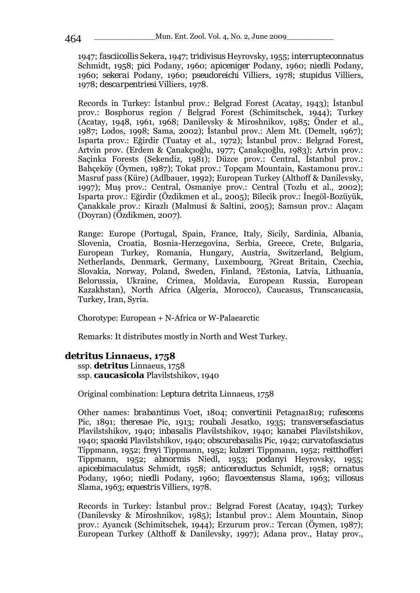1947; *fasciicollis* Sekera, 1947; *tridivisus* Heyrovsky, 1955; *interrupteconnatus*  Schmidt, 1958; *pici* Podany, 1960; *apiceniger* Podany, 1960; *niedli* Podany, 1960; *sekerai* Podany, 1960; *pseudoreichi* Villiers, 1978; *stupidus* Villiers, 1978; *descarpentriesi* Villiers, 1978.

Records in Turkey: İstanbul prov.: Belgrad Forest (Acatay, 1943); İstanbul prov.: Bosphorus region / Belgrad Forest (Schimitschek, 1944); Turkey (Acatay, 1948, 1961, 1968; Danilevsky & Miroshnikov, 1985; Önder et al., 1987; Lodos, 1998; Sama, 2002); İstanbul prov.: Alem Mt. (Demelt, 1967); Isparta prov.: Eğirdir (Tuatay et al., 1972); İstanbul prov.: Belgrad Forest, Artvin prov. (Erdem & Çanakçıoğlu, 1977; Çanakçıoğlu, 1983); Artvin prov.: Saçinka Forests (Sekendiz, 1981); Düzce prov.: Central, İstanbul prov.: Bahçeköy (Öymen, 1987); Tokat prov.: Topçam Mountain, Kastamonu prov.: Masruf pass (Küre) (Adlbauer, 1992); European Turkey (Althoff & Danilevsky, 1997); Muş prov.: Central, Osmaniye prov.: Central (Tozlu et al., 2002); Isparta prov.: Eğirdir (Özdikmen et al., 2005); Bilecik prov.: İnegöl-Bozüyük, Çanakkale prov.: Kirazlı (Malmusi & Saltini, 2005); Samsun prov.: Alaçam (Doyran) (Özdikmen, 2007).

Range: Europe (Portugal, Spain, France, Italy, Sicily, Sardinia, Albania, Slovenia, Croatia, Bosnia-Herzegovina, Serbia, Greece, Crete, Bulgaria, European Turkey, Romania, Hungary, Austria, Switzerland, Belgium, Netherlands, Denmark, Germany, Luxembourg, ?Great Britain, Czechia, Slovakia, Norway, Poland, Sweden, Finland, ?Estonia, Latvia, Lithuania, Belorussia, Ukraine, Crimea, Moldavia, European Russia, European Kazakhstan), North Africa (Algeria, Morocco), Caucasus, Transcaucasia, Turkey, Iran, Syria.

Chorotype: European + N-Africa or W-Palaearctic

Remarks: It distributes mostly in North and West Turkey.

### *detritus* **Linnaeus, 1758**

ssp. *detritus* Linnaeus, 1758 ssp. *caucasicola* Plavilstshikov, 1940

Original combination: *Leptura detrita* Linnaeus, 1758

Other names: *brabantinus* Voet, 1804; *convertinii* Petagna1819; *rufescens*  Pic, 1891; *theresae* Pic, 1913; *roubali* Jesatko, 1935; *transversefasciatus*  Plavilstshikov, 1940; *inbasalis* Plavilstshikov, 1940; *kanabei* Plavilstshikov, 1940; *spaceki* Plavilstshikov, 1940; *obscurebasalis* Pic, 1942; *curvatofasciatus*  Tippmann, 1952; *freyi* Tippmann, 1952; *kulzeri* Tippmann, 1952; *reitthofferi*  Tippmann, 1952; *abnormis* Niedl, 1953; *podanyi* Heyrovsky, 1955; *apicebimaculatus* Schmidt, 1958; *anticereductus* Schmidt, 1958; *ornatus*  Podany, 1960; *niedli* Podany, 1960; *flavoextensus* Slama, 1963; *villosus*  Slama, 1963; *equestris* Villiers, 1978.

Records in Turkey: İstanbul prov.: Belgrad Forest (Acatay, 1943); Turkey (Danilevsky & Miroshnikov, 1985); İstanbul prov.: Alem Mountain, Sinop prov.: Ayancık (Schimitschek, 1944); Erzurum prov.: Tercan (Öymen, 1987); European Turkey (Althoff & Danilevsky, 1997); Adana prov., Hatay prov.,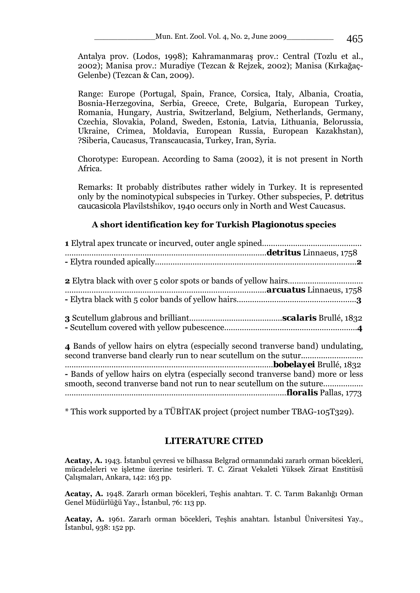Antalya prov. (Lodos, 1998); Kahramanmaraş prov.: Central (Tozlu et al., 2002); Manisa prov.: Muradiye (Tezcan & Rejzek, 2002); Manisa (Kırkağaç-Gelenbe) (Tezcan & Can, 2009).

Range: Europe (Portugal, Spain, France, Corsica, Italy, Albania, Croatia, Bosnia-Herzegovina, Serbia, Greece, Crete, Bulgaria, European Turkey, Romania, Hungary, Austria, Switzerland, Belgium, Netherlands, Germany, Czechia, Slovakia, Poland, Sweden, Estonia, Latvia, Lithuania, Belorussia, Ukraine, Crimea, Moldavia, European Russia, European Kazakhstan), ?Siberia, Caucasus, Transcaucasia, Turkey, Iran, Syria.

Chorotype: European. According to Sama (2002), it is not present in North Africa.

Remarks: It probably distributes rather widely in Turkey. It is represented only by the nominotypical subspecies in Turkey. Other subspecies, *P. detritus caucasicola* Plavilstshikov, 1940 occurs only in North and West Caucasus.

### **A short identification key for Turkish** *Plagionotus* **species**

| 4 Bands of yellow hairs on elytra (especially second tranverse band) undulating,  |
|-----------------------------------------------------------------------------------|
|                                                                                   |
|                                                                                   |
|                                                                                   |
| - Bands of yellow hairs on elytra (especially second tranverse band) more or less |
| smooth, second tranverse band not run to near scutellum on the suture             |
|                                                                                   |
|                                                                                   |

\* This work supported by a TÜBİTAK project (project number TBAG-105T329).

# **LITERATURE CITED**

**Acatay, A.** 1943. İstanbul çevresi ve bilhassa Belgrad ormanındaki zararlı orman böcekleri, mücadeleleri ve işletme üzerine tesirleri. T. C. Ziraat Vekaleti Yüksek Ziraat Enstitüsü Çalışmaları, Ankara, 142: 163 pp.

**Acatay, A.** 1948. Zararlı orman böcekleri, Teşhis anahtarı. T. C. Tarım Bakanlığı Orman Genel Müdürlüğü Yay., İstanbul, 76: 113 pp.

**Acatay, A.** 1961. Zararlı orman böcekleri, Teşhis anahtarı. İstanbul Üniversitesi Yay., İstanbul, 938: 152 pp.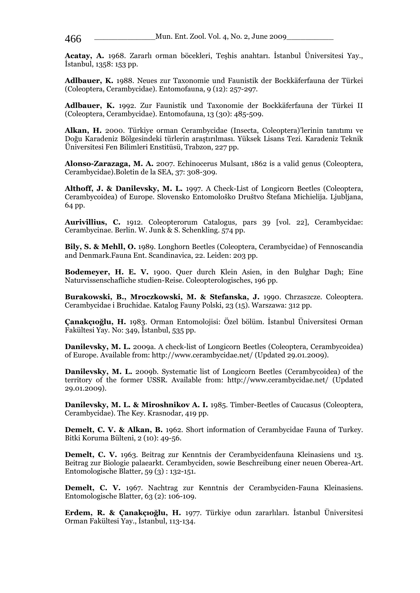**Acatay, A.** 1968. Zararlı orman böcekleri, Teşhis anahtarı. İstanbul Üniversitesi Yay., İstanbul, 1358: 153 pp.

**Adlbauer, K.** 1988. Neues zur Taxonomie und Faunistik der Bockkäferfauna der Türkei (Coleoptera, Cerambycidae). Entomofauna, 9 (12): 257-297.

**Adlbauer, K.** 1992. Zur Faunistik und Taxonomie der Bockkäferfauna der Türkei II (Coleoptera, Cerambycidae). Entomofauna, 13 (30): 485-509.

**Alkan, H.** 2000. Türkiye orman Cerambycidae (Insecta, Coleoptera)'lerinin tanıtımı ve Doğu Karadeniz Bölgesindeki türlerin araştırılması. Yüksek Lisans Tezi. Karadeniz Teknik Üniversitesi Fen Bilimleri Enstitüsü, Trabzon, 227 pp.

**Alonso-Zarazaga, M. A.** 2007. Echinocerus Mulsant, 1862 is a valid genus (Coleoptera, Cerambycidae).Boletin de la SEA, 37: 308-309.

**Althoff, J. & Danilevsky, M. L.** 1997. A Check-List of Longicorn Beetles (Coleoptera, Cerambycoidea) of Europe. Slovensko Entomološko Društvo Štefana Michielija. Ljubljana, 64 pp.

**Aurivillius, C.** 1912. Coleopterorum Catalogus, pars 39 [vol. 22], Cerambycidae: Cerambycinae. Berlin. W. Junk & S. Schenkling. 574 pp.

**Bily, S. & Mehll, O.** 1989. Longhorn Beetles (Coleoptera, Cerambycidae) of Fennoscandia and Denmark.Fauna Ent. Scandinavica, 22. Leiden: 203 pp.

**Bodemeyer, H. E. V.** 1900. Quer durch Klein Asien, in den Bulghar Dagh; Eine Naturvissenschafliche studien-Reise. Coleopterologisches, 196 pp.

**Burakowski, B., Mroczkowski, M. & Stefanska, J.** 1990. Chrzaszcze. Coleoptera. Cerambycidae i Bruchidae. Katalog Fauny Polski, 23 (15). Warszawa: 312 pp.

**Çanakçıoğlu, H.** 1983. Orman Entomolojisi: Özel bölüm. İstanbul Üniversitesi Orman Fakültesi Yay. No: 349, İstanbul, 535 pp.

**Danilevsky, M. L.** 2009a. A check-list of Longicorn Beetles (Coleoptera, Cerambycoidea) of Europe. Available from: http://www.cerambycidae.net/ (Updated 29.01.2009).

**Danilevsky, M. L.** 2009b. Systematic list of Longicorn Beetles (Cerambycoidea) of the territory of the former USSR. Available from: http://www.cerambycidae.net/ (Updated 29.01.2009).

**Danilevsky, M. L. & Miroshnikov A. I.** 1985. Timber-Beetles of Caucasus (Coleoptera, Cerambycidae). The Key. Krasnodar, 419 pp.

**Demelt, C. V. & Alkan, B.** 1962. Short information of Cerambycidae Fauna of Turkey. Bitki Koruma Bülteni, 2 (10): 49-56.

**Demelt, C. V.** 1963. Beitrag zur Kenntnis der Cerambycidenfauna Kleinasiens und 13. Beitrag zur Biologie palaearkt. Cerambyciden, sowie Beschreibung einer neuen Oberea-Art. Entomologische Blatter, 59 (3) : 132-151.

**Demelt, C. V.** 1967. Nachtrag zur Kenntnis der Cerambyciden-Fauna Kleinasiens. Entomologische Blatter, 63 (2): 106-109.

**Erdem, R. & Çanakçıoğlu, H.** 1977. Türkiye odun zararlıları. İstanbul Üniversitesi Orman Fakültesi Yay., İstanbul, 113-134.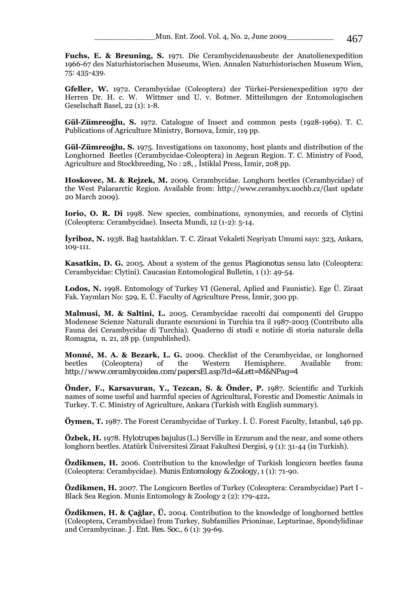**Fuchs, E. & Breuning, S.** 1971. Die Cerambycidenausbeute der Anatolienexpedition 1966-67 des Naturhistorischen Museums, Wien. Annalen Naturhistorischen Museum Wien, 75: 435-439.

**Gfeller, W.** 1972. Cerambycidae (Coleoptera) der Türkei-Persienexpedition 1970 der Herren Dr. H. c. W. Wittmer und U. v. Botmer. Mitteilungen der Entomologischen Geselschaft Basel, 22 (1): 1-8.

**Gül-Zümreoğlu, S.** 1972. Catalogue of Insect and common pests (1928-1969). T. C. Publications of Agriculture Ministry, Bornova, İzmir, 119 pp.

**Gül-Zümreoğlu, S.** 1975. Investigations on taxonomy, host plants and distribution of the Longhorned Beetles (Cerambycidae-Coleoptera) in Aegean Region. T. C. Ministry of Food, Agriculture and Stockbreeding, No : 28, , İstiklal Press, İzmir, 208 pp.

**Hoskovec, M. & Rejzek, M.** 2009. Cerambycidae. Longhorn beetles (Cerambycidae) of the West Palaearctic Region. Available from: http://www.cerambyx.uochb.cz/(last update 20 March 2009).

**Iorio, O. R. Di** 1998. New species, combinations, synonymies, and records of Clytini (Coleoptera: Cerambycidae). Insecta Mundi, 12 (1-2): 5-14.

**İyriboz, N.** 1938. Bağ hastalıkları. T. C. Ziraat Vekaleti Neşriyatı Umumi sayı: 323, Ankara, 109-111.

**Kasatkin, D. G.** 2005. About a system of the genus *Plagionotus* sensu lato (Coleoptera: Cerambycidae: Clytini). Caucasian Entomological Bulletin, 1 (1): 49-54.

**Lodos, N.** 1998. Entomology of Turkey VI (General, Aplied and Faunistic). Ege Ü. Ziraat Fak. Yayınları No: 529, E. Ü. Faculty of Agriculture Press, İzmir, 300 pp.

**Malmusi, M. & Saltini, L.** 2005. Cerambycidae raccolti dai componenti del Gruppo Modenese Scienze Naturali durante escursioni in Turchia tra il 1987-2003 (Contributo alla Fauna dei Cerambycidae di Turchia). Quaderno di studi e notizie di storia naturale della Romagna, n. 21, 28 pp. (unpublished).

**Monné, M. A. & Bezark, L. G.** 2009. Checklist of the Cerambycidae, or longhorned beetles (Coleoptera) of the Western Hemisphere. Available from: *http://www.cerambycoidea.com/papersEl.asp?Id=&Lett=M&NPag=4*

**Önder, F., Karsavuran, Y., Tezcan, S. & Önder, P.** 1987. Scientific and Turkish names of some useful and harmful species of Agricultural, Forestic and Domestic Animals in Turkey. T. C. Ministry of Agriculture, Ankara (Turkish with English summary).

**Öymen, T.** 1987. The Forest Cerambycidae of Turkey. İ. Ü. Forest Faculty, İstanbul, 146 pp.

**Özbek, H.** 1978. *Hylotrupes bajulus* (L.) Serville in Erzurum and the near, and some others longhorn beetles. Atatürk Üniversitesi Ziraat Fakultesi Dergisi, 9 (1): 31-44 (in Turkish).

**Özdikmen, H.** 2006. Contribution to the knowledge of Turkish longicorn beetles fauna (Coleoptera: Cerambycidae). *Munis Entomology & Zoology*, 1 (1): 71-90.

**Özdikmen, H.** 2007. The Longicorn Beetles of Turkey (Coleoptera: Cerambycidae) Part I - Black Sea Region. Munis Entomology & Zoology 2 (2): 179-422**.** 

**Özdikmen, H. & Çağlar, Ü.** 2004. Contribution to the knowledge of longhorned bettles (Coleoptera, Cerambycidae) from Turkey, Subfamilies Prioninae, Lepturinae, Spondylidinae and Cerambycinae. *J. Ent. Res. Soc.,* 6 (1): 39-69.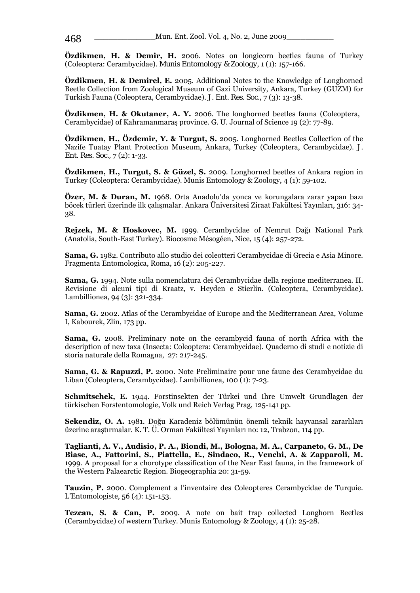**Özdikmen, H. & Demir, H.** 2006. Notes on longicorn beetles fauna of Turkey (Coleoptera: Cerambycidae). *Munis Entomology & Zoology*, 1 (1): 157-166.

**Özdikmen, H. & Demirel, E.** 2005. Additional Notes to the Knowledge of Longhorned Beetle Collection from Zoological Museum of Gazi University, Ankara, Turkey (GUZM) for Turkish Fauna (Coleoptera, Cerambycidae). *J. Ent. Res. Soc.*, 7 (3): 13-38.

**Özdikmen, H. & Okutaner, A. Y.** 2006. The longhorned beetles fauna (Coleoptera, Cerambycidae) of Kahramanmaraş province. G. U. Journal of Science 19 (2): 77-89.

**Özdikmen, H., Özdemir, Y. & Turgut, S.** 2005. Longhorned Beetles Collection of the Nazife Tuatay Plant Protection Museum, Ankara, Turkey (Coleoptera, Cerambycidae). *J. Ent. Res. Soc.,* 7 (2): 1-33.

**Özdikmen, H., Turgut, S. & Güzel, S.** 2009. Longhorned beetles of Ankara region in Turkey (Coleoptera: Cerambycidae). Munis Entomology & Zoology, 4 (1): 59-102.

**Özer, M. & Duran, M.** 1968. Orta Anadolu'da yonca ve korungalara zarar yapan bazı böcek türleri üzerinde ilk çalışmalar. Ankara Üniversitesi Ziraat Fakültesi Yayınları, 316: 34- 38.

**Rejzek, M. & Hoskovec, M.** 1999. Cerambycidae of Nemrut Dağı National Park (Anatolia, South-East Turkey). Biocosme Mésogéen, Nice, 15 (4): 257-272.

**Sama, G.** 1982. Contributo allo studio dei coleotteri Cerambycidae di Grecia e Asia Minore. Fragmenta Entomologica, Roma, 16 (2): 205-227.

**Sama, G.** 1994. Note sulla nomenclatura dei Cerambycidae della regione mediterranea. II. Revisione di alcuni tipi di Kraatz, v. Heyden e Stierlin. (Coleoptera, Cerambycidae). Lambillionea, 94 (3): 321-334.

**Sama, G.** 2002. Atlas of the Cerambycidae of Europe and the Mediterranean Area, Volume I, Kabourek, Zlin, 173 pp.

**Sama, G.** 2008. Preliminary note on the cerambycid fauna of north Africa with the description of new taxa (Insecta: Coleoptera: Cerambycidae). Quaderno di studi e notizie di storia naturale della Romagna, 27: 217-245.

**Sama, G. & Rapuzzi, P.** 2000. Note Preliminaire pour une faune des Cerambycidae du Liban (Coleoptera, Cerambycidae). Lambillionea, 100 (1): 7-23.

**Schmitschek, E.** 1944. Forstinsekten der Türkei und Ihre Umwelt Grundlagen der türkischen Forstentomologie, Volk und Reich Verlag Prag, 125-141 pp.

**Sekendiz, O. A.** 1981. Doğu Karadeniz bölümünün önemli teknik hayvansal zararlıları üzerine araştırmalar. K. T. Ü. Orman Fakültesi Yayınları no: 12, Trabzon, 114 pp.

**Taglianti, A. V., Audisio, P. A., Biondi, M., Bologna, M. A., Carpaneto, G. M., De Biase, A., Fattorini, S., Piattella, E., Sindaco, R., Venchi, A. & Zapparoli, M.**  1999. A proposal for a chorotype classification of the Near East fauna, in the framework of the Western Palaearctic Region. Biogeographia 20: 31-59.

**Tauzin, P.** 2000. Complement a l'inventaire des Coleopteres Cerambycidae de Turquie. L'Entomologiste, 56 (4): 151-153.

**Tezcan, S. & Can, P.** 2009. A note on bait trap collected Longhorn Beetles (Cerambycidae) of western Turkey. Munis Entomology & Zoology, 4 (1): 25-28.